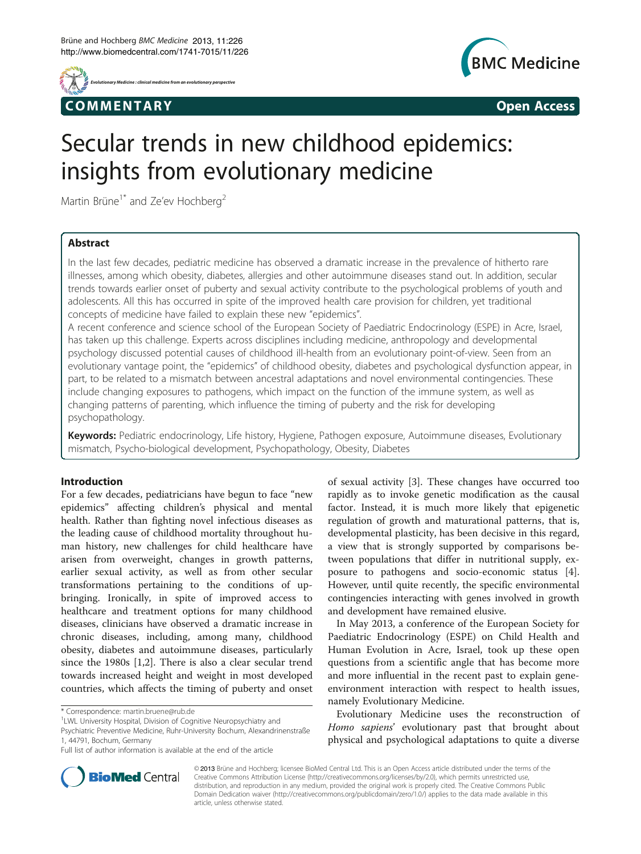



# Secular trends in new childhood epidemics: insights from evolutionary medicine

Martin Brüne<sup>1\*</sup> and Ze'ev Hochberg<sup>2</sup>

# Abstract

In the last few decades, pediatric medicine has observed a dramatic increase in the prevalence of hitherto rare illnesses, among which obesity, diabetes, allergies and other autoimmune diseases stand out. In addition, secular trends towards earlier onset of puberty and sexual activity contribute to the psychological problems of youth and adolescents. All this has occurred in spite of the improved health care provision for children, yet traditional concepts of medicine have failed to explain these new "epidemics".

A recent conference and science school of the European Society of Paediatric Endocrinology (ESPE) in Acre, Israel, has taken up this challenge. Experts across disciplines including medicine, anthropology and developmental psychology discussed potential causes of childhood ill-health from an evolutionary point-of-view. Seen from an evolutionary vantage point, the "epidemics" of childhood obesity, diabetes and psychological dysfunction appear, in part, to be related to a mismatch between ancestral adaptations and novel environmental contingencies. These include changing exposures to pathogens, which impact on the function of the immune system, as well as changing patterns of parenting, which influence the timing of puberty and the risk for developing psychopathology.

Keywords: Pediatric endocrinology, Life history, Hygiene, Pathogen exposure, Autoimmune diseases, Evolutionary mismatch, Psycho-biological development, Psychopathology, Obesity, Diabetes

## Introduction

For a few decades, pediatricians have begun to face "new epidemics" affecting children's physical and mental health. Rather than fighting novel infectious diseases as the leading cause of childhood mortality throughout human history, new challenges for child healthcare have arisen from overweight, changes in growth patterns, earlier sexual activity, as well as from other secular transformations pertaining to the conditions of upbringing. Ironically, in spite of improved access to healthcare and treatment options for many childhood diseases, clinicians have observed a dramatic increase in chronic diseases, including, among many, childhood obesity, diabetes and autoimmune diseases, particularly since the 1980s [\[1](#page-3-0),[2](#page-3-0)]. There is also a clear secular trend towards increased height and weight in most developed countries, which affects the timing of puberty and onset

of sexual activity [[3\]](#page-3-0). These changes have occurred too rapidly as to invoke genetic modification as the causal factor. Instead, it is much more likely that epigenetic regulation of growth and maturational patterns, that is, developmental plasticity, has been decisive in this regard, a view that is strongly supported by comparisons between populations that differ in nutritional supply, exposure to pathogens and socio-economic status [\[4](#page-3-0)]. However, until quite recently, the specific environmental contingencies interacting with genes involved in growth and development have remained elusive.

In May 2013, a conference of the European Society for Paediatric Endocrinology (ESPE) on Child Health and Human Evolution in Acre, Israel, took up these open questions from a scientific angle that has become more and more influential in the recent past to explain geneenvironment interaction with respect to health issues, namely Evolutionary Medicine.

Evolutionary Medicine uses the reconstruction of Homo sapiens' evolutionary past that brought about physical and psychological adaptations to quite a diverse



© 2013 Brüne and Hochberg; licensee BioMed Central Ltd. This is an Open Access article distributed under the terms of the Creative Commons Attribution License (<http://creativecommons.org/licenses/by/2.0>), which permits unrestricted use, distribution, and reproduction in any medium, provided the original work is properly cited. The Creative Commons Public Domain Dedication waiver [\(http://creativecommons.org/publicdomain/zero/1.0/\)](http://creativecommons.org/publicdomain/zero/1.0/) applies to the data made available in this article, unless otherwise stated.

<sup>\*</sup> Correspondence: [martin.bruene@rub.de](mailto:martin.bruene@rub.de) <sup>1</sup>

<sup>&</sup>lt;sup>1</sup>LWL University Hospital, Division of Cognitive Neuropsychiatry and

Psychiatric Preventive Medicine, Ruhr-University Bochum, Alexandrinenstraße 1, 44791, Bochum, Germany

Full list of author information is available at the end of the article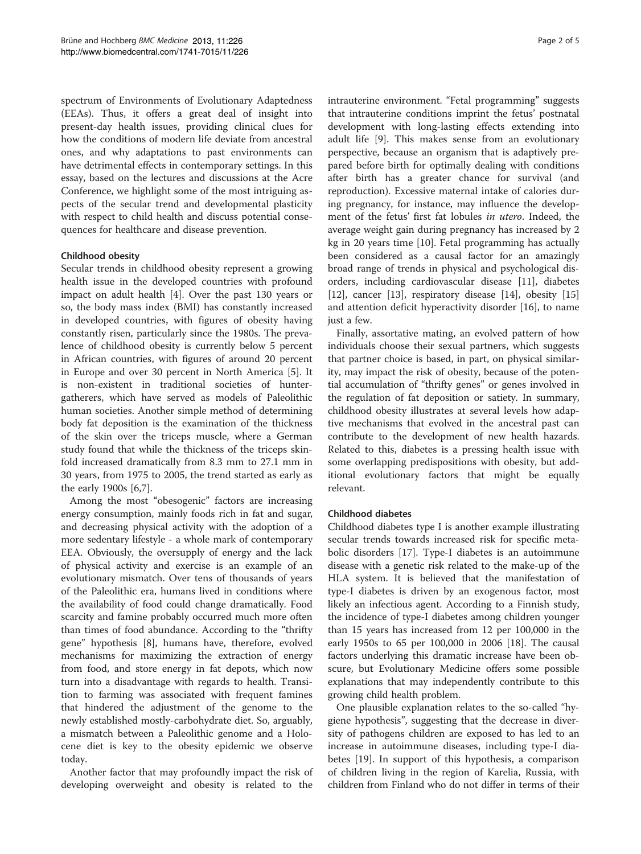spectrum of Environments of Evolutionary Adaptedness (EEAs). Thus, it offers a great deal of insight into present-day health issues, providing clinical clues for how the conditions of modern life deviate from ancestral ones, and why adaptations to past environments can have detrimental effects in contemporary settings. In this essay, based on the lectures and discussions at the Acre Conference, we highlight some of the most intriguing aspects of the secular trend and developmental plasticity with respect to child health and discuss potential consequences for healthcare and disease prevention.

## Childhood obesity

Secular trends in childhood obesity represent a growing health issue in the developed countries with profound impact on adult health [\[4\]](#page-3-0). Over the past 130 years or so, the body mass index (BMI) has constantly increased in developed countries, with figures of obesity having constantly risen, particularly since the 1980s. The prevalence of childhood obesity is currently below 5 percent in African countries, with figures of around 20 percent in Europe and over 30 percent in North America [\[5](#page-3-0)]. It is non-existent in traditional societies of huntergatherers, which have served as models of Paleolithic human societies. Another simple method of determining body fat deposition is the examination of the thickness of the skin over the triceps muscle, where a German study found that while the thickness of the triceps skinfold increased dramatically from 8.3 mm to 27.1 mm in 30 years, from 1975 to 2005, the trend started as early as the early 1900s [\[6,7](#page-3-0)].

Among the most "obesogenic" factors are increasing energy consumption, mainly foods rich in fat and sugar, and decreasing physical activity with the adoption of a more sedentary lifestyle - a whole mark of contemporary EEA. Obviously, the oversupply of energy and the lack of physical activity and exercise is an example of an evolutionary mismatch. Over tens of thousands of years of the Paleolithic era, humans lived in conditions where the availability of food could change dramatically. Food scarcity and famine probably occurred much more often than times of food abundance. According to the "thrifty gene" hypothesis [\[8\]](#page-3-0), humans have, therefore, evolved mechanisms for maximizing the extraction of energy from food, and store energy in fat depots, which now turn into a disadvantage with regards to health. Transition to farming was associated with frequent famines that hindered the adjustment of the genome to the newly established mostly-carbohydrate diet. So, arguably, a mismatch between a Paleolithic genome and a Holocene diet is key to the obesity epidemic we observe today.

Another factor that may profoundly impact the risk of developing overweight and obesity is related to the intrauterine environment. "Fetal programming" suggests that intrauterine conditions imprint the fetus' postnatal development with long-lasting effects extending into adult life [\[9](#page-3-0)]. This makes sense from an evolutionary perspective, because an organism that is adaptively prepared before birth for optimally dealing with conditions after birth has a greater chance for survival (and reproduction). Excessive maternal intake of calories during pregnancy, for instance, may influence the development of the fetus' first fat lobules in utero. Indeed, the average weight gain during pregnancy has increased by 2 kg in 20 years time [\[10](#page-3-0)]. Fetal programming has actually been considered as a causal factor for an amazingly broad range of trends in physical and psychological disorders, including cardiovascular disease [[11](#page-3-0)], diabetes [[12\]](#page-3-0), cancer [[13\]](#page-3-0), respiratory disease [[14\]](#page-3-0), obesity [[15](#page-3-0)] and attention deficit hyperactivity disorder [\[16](#page-3-0)], to name just a few.

Finally, assortative mating, an evolved pattern of how individuals choose their sexual partners, which suggests that partner choice is based, in part, on physical similarity, may impact the risk of obesity, because of the potential accumulation of "thrifty genes" or genes involved in the regulation of fat deposition or satiety. In summary, childhood obesity illustrates at several levels how adaptive mechanisms that evolved in the ancestral past can contribute to the development of new health hazards. Related to this, diabetes is a pressing health issue with some overlapping predispositions with obesity, but additional evolutionary factors that might be equally relevant.

## Childhood diabetes

Childhood diabetes type I is another example illustrating secular trends towards increased risk for specific metabolic disorders [[17](#page-3-0)]. Type-I diabetes is an autoimmune disease with a genetic risk related to the make-up of the HLA system. It is believed that the manifestation of type-I diabetes is driven by an exogenous factor, most likely an infectious agent. According to a Finnish study, the incidence of type-I diabetes among children younger than 15 years has increased from 12 per 100,000 in the early 1950s to 65 per 100,000 in 2006 [\[18\]](#page-3-0). The causal factors underlying this dramatic increase have been obscure, but Evolutionary Medicine offers some possible explanations that may independently contribute to this growing child health problem.

One plausible explanation relates to the so-called "hygiene hypothesis", suggesting that the decrease in diversity of pathogens children are exposed to has led to an increase in autoimmune diseases, including type-I diabetes [[19\]](#page-3-0). In support of this hypothesis, a comparison of children living in the region of Karelia, Russia, with children from Finland who do not differ in terms of their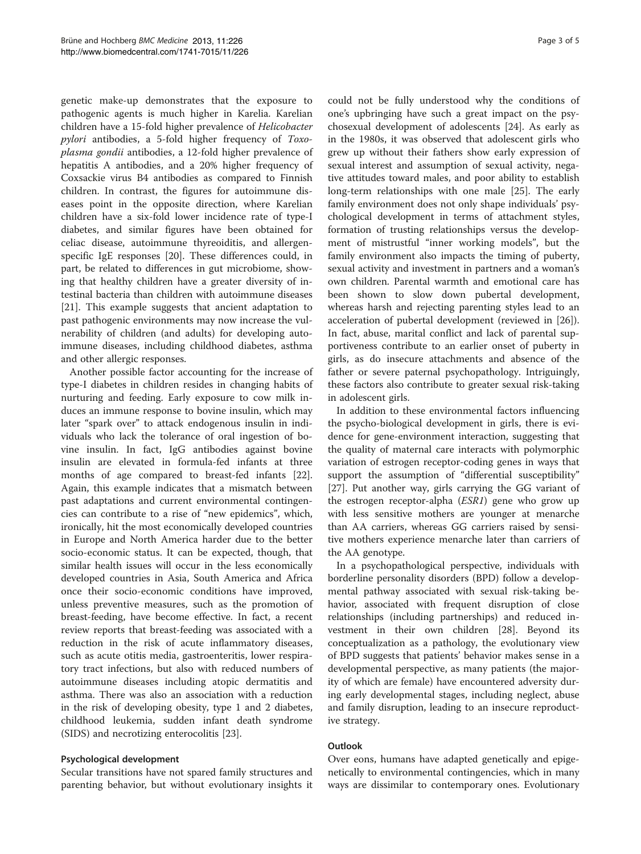genetic make-up demonstrates that the exposure to pathogenic agents is much higher in Karelia. Karelian children have a 15-fold higher prevalence of Helicobacter pylori antibodies, a 5-fold higher frequency of Toxoplasma gondii antibodies, a 12-fold higher prevalence of hepatitis A antibodies, and a 20% higher frequency of Coxsackie virus B4 antibodies as compared to Finnish children. In contrast, the figures for autoimmune diseases point in the opposite direction, where Karelian children have a six-fold lower incidence rate of type-I diabetes, and similar figures have been obtained for celiac disease, autoimmune thyreoiditis, and allergenspecific IgE responses [[20](#page-3-0)]. These differences could, in part, be related to differences in gut microbiome, showing that healthy children have a greater diversity of intestinal bacteria than children with autoimmune diseases [[21\]](#page-3-0). This example suggests that ancient adaptation to past pathogenic environments may now increase the vulnerability of children (and adults) for developing autoimmune diseases, including childhood diabetes, asthma and other allergic responses.

Another possible factor accounting for the increase of type-I diabetes in children resides in changing habits of nurturing and feeding. Early exposure to cow milk induces an immune response to bovine insulin, which may later "spark over" to attack endogenous insulin in individuals who lack the tolerance of oral ingestion of bovine insulin. In fact, IgG antibodies against bovine insulin are elevated in formula-fed infants at three months of age compared to breast-fed infants [\[22](#page-4-0)]. Again, this example indicates that a mismatch between past adaptations and current environmental contingencies can contribute to a rise of "new epidemics", which, ironically, hit the most economically developed countries in Europe and North America harder due to the better socio-economic status. It can be expected, though, that similar health issues will occur in the less economically developed countries in Asia, South America and Africa once their socio-economic conditions have improved, unless preventive measures, such as the promotion of breast-feeding, have become effective. In fact, a recent review reports that breast-feeding was associated with a reduction in the risk of acute inflammatory diseases, such as acute otitis media, gastroenteritis, lower respiratory tract infections, but also with reduced numbers of autoimmune diseases including atopic dermatitis and asthma. There was also an association with a reduction in the risk of developing obesity, type 1 and 2 diabetes, childhood leukemia, sudden infant death syndrome (SIDS) and necrotizing enterocolitis [[23](#page-4-0)].

### Psychological development

Secular transitions have not spared family structures and parenting behavior, but without evolutionary insights it

could not be fully understood why the conditions of one's upbringing have such a great impact on the psychosexual development of adolescents [\[24](#page-4-0)]. As early as in the 1980s, it was observed that adolescent girls who grew up without their fathers show early expression of sexual interest and assumption of sexual activity, negative attitudes toward males, and poor ability to establish long-term relationships with one male [[25\]](#page-4-0). The early family environment does not only shape individuals' psychological development in terms of attachment styles, formation of trusting relationships versus the development of mistrustful "inner working models", but the family environment also impacts the timing of puberty, sexual activity and investment in partners and a woman's own children. Parental warmth and emotional care has been shown to slow down pubertal development, whereas harsh and rejecting parenting styles lead to an acceleration of pubertal development (reviewed in [\[26](#page-4-0)]). In fact, abuse, marital conflict and lack of parental supportiveness contribute to an earlier onset of puberty in girls, as do insecure attachments and absence of the father or severe paternal psychopathology. Intriguingly, these factors also contribute to greater sexual risk-taking in adolescent girls.

In addition to these environmental factors influencing the psycho-biological development in girls, there is evidence for gene-environment interaction, suggesting that the quality of maternal care interacts with polymorphic variation of estrogen receptor-coding genes in ways that support the assumption of "differential susceptibility" [[27\]](#page-4-0). Put another way, girls carrying the GG variant of the estrogen receptor-alpha (ESR1) gene who grow up with less sensitive mothers are younger at menarche than AA carriers, whereas GG carriers raised by sensitive mothers experience menarche later than carriers of the AA genotype.

In a psychopathological perspective, individuals with borderline personality disorders (BPD) follow a developmental pathway associated with sexual risk-taking behavior, associated with frequent disruption of close relationships (including partnerships) and reduced investment in their own children [\[28\]](#page-4-0). Beyond its conceptualization as a pathology, the evolutionary view of BPD suggests that patients' behavior makes sense in a developmental perspective, as many patients (the majority of which are female) have encountered adversity during early developmental stages, including neglect, abuse and family disruption, leading to an insecure reproductive strategy.

## **Outlook**

Over eons, humans have adapted genetically and epigenetically to environmental contingencies, which in many ways are dissimilar to contemporary ones. Evolutionary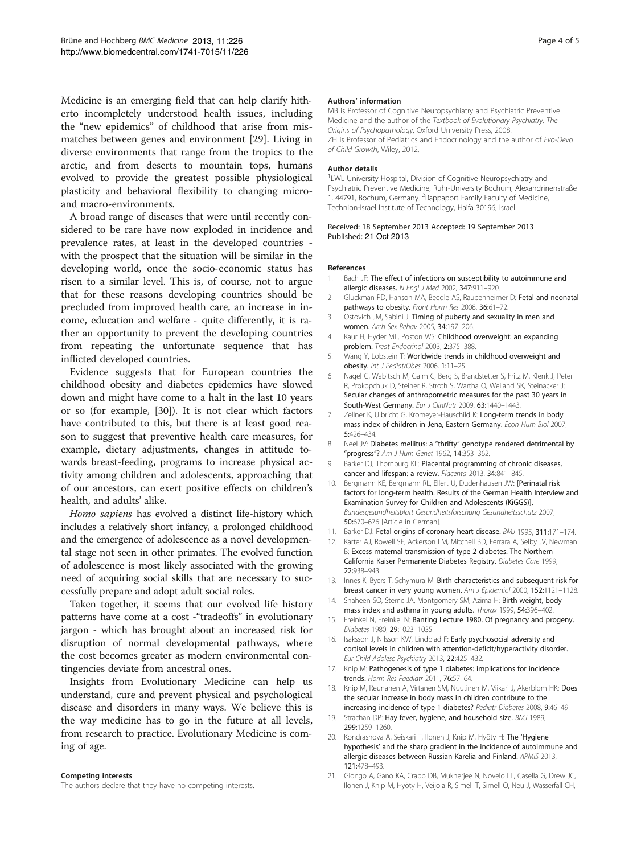<span id="page-3-0"></span>Medicine is an emerging field that can help clarify hitherto incompletely understood health issues, including the "new epidemics" of childhood that arise from mismatches between genes and environment [\[29\]](#page-4-0). Living in diverse environments that range from the tropics to the arctic, and from deserts to mountain tops, humans evolved to provide the greatest possible physiological plasticity and behavioral flexibility to changing microand macro-environments.

A broad range of diseases that were until recently considered to be rare have now exploded in incidence and prevalence rates, at least in the developed countries with the prospect that the situation will be similar in the developing world, once the socio-economic status has risen to a similar level. This is, of course, not to argue that for these reasons developing countries should be precluded from improved health care, an increase in income, education and welfare - quite differently, it is rather an opportunity to prevent the developing countries from repeating the unfortunate sequence that has inflicted developed countries.

Evidence suggests that for European countries the childhood obesity and diabetes epidemics have slowed down and might have come to a halt in the last 10 years or so (for example, [[30\]](#page-4-0)). It is not clear which factors have contributed to this, but there is at least good reason to suggest that preventive health care measures, for example, dietary adjustments, changes in attitude towards breast-feeding, programs to increase physical activity among children and adolescents, approaching that of our ancestors, can exert positive effects on children's health, and adults' alike.

Homo sapiens has evolved a distinct life-history which includes a relatively short infancy, a prolonged childhood and the emergence of adolescence as a novel developmental stage not seen in other primates. The evolved function of adolescence is most likely associated with the growing need of acquiring social skills that are necessary to successfully prepare and adopt adult social roles.

Taken together, it seems that our evolved life history patterns have come at a cost -"tradeoffs" in evolutionary jargon - which has brought about an increased risk for disruption of normal developmental pathways, where the cost becomes greater as modern environmental contingencies deviate from ancestral ones.

Insights from Evolutionary Medicine can help us understand, cure and prevent physical and psychological disease and disorders in many ways. We believe this is the way medicine has to go in the future at all levels, from research to practice. Evolutionary Medicine is coming of age.

#### Competing interests

The authors declare that they have no competing interests.

#### Authors' information

MB is Professor of Cognitive Neuropsychiatry and Psychiatric Preventive Medicine and the author of the Textbook of Evolutionary Psychiatry. The Origins of Psychopathology, Oxford University Press, 2008. ZH is Professor of Pediatrics and Endocrinology and the author of Evo-Devo of Child Growth, Wiley, 2012.

#### Author details

<sup>1</sup> LWL University Hospital, Division of Cognitive Neuropsychiatry and Psychiatric Preventive Medicine, Ruhr-University Bochum, Alexandrinenstraße 1, 44791, Bochum, Germany. <sup>2</sup>Rappaport Family Faculty of Medicine Technion-Israel Institute of Technology, Haifa 30196, Israel.

#### Received: 18 September 2013 Accepted: 19 September 2013 Published: 21 Oct 2013

#### References

- 1. Bach JF: The effect of infections on susceptibility to autoimmune and allergic diseases. N Engl J Med 2002, 347:911–920.
- 2. Gluckman PD, Hanson MA, Beedle AS, Raubenheimer D: Fetal and neonatal pathways to obesity. Front Horm Res 2008, 36:61-72.
- 3. Ostovich JM, Sabini J: Timing of puberty and sexuality in men and women. Arch Sex Behav 2005, 34:197–206.
- 4. Kaur H, Hyder ML, Poston WS: Childhood overweight: an expanding problem. Treat Endocrinol 2003, 2:375–388.
- 5. Wang Y, Lobstein T: Worldwide trends in childhood overweight and obesity. Int J PediatrObes 2006, 1:11–25.
- 6. Nagel G, Wabitsch M, Galm C, Berg S, Brandstetter S, Fritz M, Klenk J, Peter R, Prokopchuk D, Steiner R, Stroth S, Wartha O, Weiland SK, Steinacker J: Secular changes of anthropometric measures for the past 30 years in South-West Germany. Eur J ClinNutr 2009, 63:1440-1443.
- 7. Zellner K, Ulbricht G, Kromeyer-Hauschild K: Long-term trends in body mass index of children in Jena, Eastern Germany. Econ Hum Biol 2007, 5:426–434.
- 8. Neel JV: Diabetes mellitus: a "thrifty" genotype rendered detrimental by "progress"? Am J Hum Genet 1962, 14:353-362.
- 9. Barker DJ, Thornburg KL: Placental programming of chronic diseases, cancer and lifespan: a review. Placenta 2013, 34:841–845.
- 10. Bergmann KE, Bergmann RL, Ellert U, Dudenhausen JW: [Perinatal risk factors for long-term health. Results of the German Health Interview and Examination Survey for Children and Adolescents (KiGGS)]. Bundesgesundheitsblatt Gesundheitsforschung Gesundheitsschutz 2007, 50:670–676 [Article in German].
- 11. Barker DJ: Fetal origins of coronary heart disease. BMJ 1995, 311:171-174.
- 12. Karter AJ, Rowell SE, Ackerson LM, Mitchell BD, Ferrara A, Selby JV, Newman B: Excess maternal transmission of type 2 diabetes. The Northern
	- California Kaiser Permanente Diabetes Registry. Diabetes Care 1999, 22:938–943.
- 13. Innes K, Byers T, Schymura M: Birth characteristics and subsequent risk for breast cancer in very young women. Am J Epidemiol 2000, 152:1121–1128.
- 14. Shaheen SO, Sterne JA, Montgomery SM, Azima H: Birth weight, body mass index and asthma in young adults. Thorax 1999, 54:396–402.
- 15. Freinkel N, Freinkel N: Banting Lecture 1980. Of pregnancy and progeny. Diabetes 1980, 29:1023–1035.
- 16. Isaksson J, Nilsson KW, Lindblad F: Early psychosocial adversity and cortisol levels in children with attention-deficit/hyperactivity disorder. Eur Child Adolesc Psychiatry 2013, 22:425–432.
- 17. Knip M: Pathogenesis of type 1 diabetes: implications for incidence trends. Horm Res Paediatr 2011, 76:57–64.
- 18. Knip M, Reunanen A, Virtanen SM, Nuutinen M, Viikari J, Akerblom HK: Does the secular increase in body mass in children contribute to the increasing incidence of type 1 diabetes? Pediatr Diabetes 2008, 9:46–49.
- 19. Strachan DP: Hay fever, hygiene, and household size. BMJ 1989, 299:1259–1260.
- 20. Kondrashova A, Seiskari T, Ilonen J, Knip M, Hyöty H: The 'Hygiene hypothesis' and the sharp gradient in the incidence of autoimmune and allergic diseases between Russian Karelia and Finland. APMIS 2013, 121:478–493.
- 21. Giongo A, Gano KA, Crabb DB, Mukherjee N, Novelo LL, Casella G, Drew JC, Ilonen J, Knip M, Hyöty H, Veijola R, Simell T, Simell O, Neu J, Wasserfall CH,